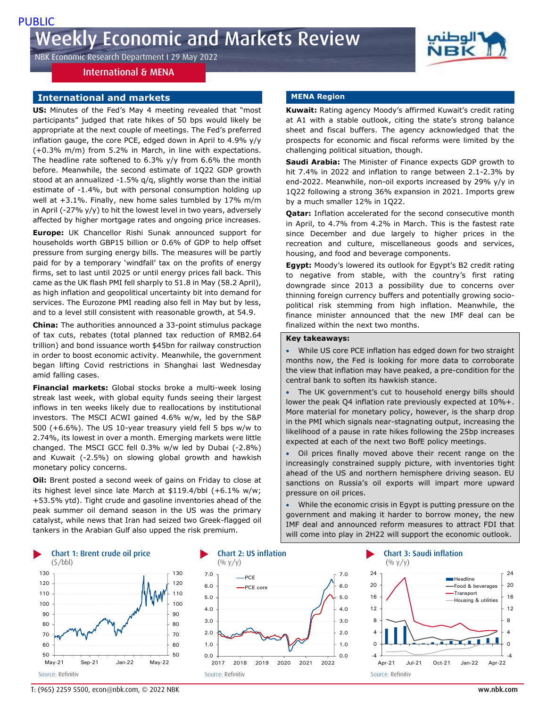NBK Economic Research Department I 29 May 2022

## International & MENA

### **International and markets**

**US:** Minutes of the Fed's May 4 meeting revealed that "most participants" judged that rate hikes of 50 bps would likely be appropriate at the next couple of meetings. The Fed's preferred inflation gauge, the core PCE, edged down in April to 4.9% y/y (+0.3% m/m) from 5.2% in March, in line with expectations. The headline rate softened to 6.3% y/y from 6.6% the month before. Meanwhile, the second estimate of 1Q22 GDP growth stood at an annualized -1.5% q/q, slightly worse than the initial estimate of -1.4%, but with personal consumption holding up well at +3.1%. Finally, new home sales tumbled by 17% m/m in April (-27%  $y/y$ ) to hit the lowest level in two years, adversely affected by higher mortgage rates and ongoing price increases.

**Europe:** UK Chancellor Rishi Sunak announced support for households worth GBP15 billion or 0.6% of GDP to help offset pressure from surging energy bills. The measures will be partly paid for by a temporary 'windfall' tax on the profits of energy firms, set to last until 2025 or until energy prices fall back. This came as the UK flash PMI fell sharply to 51.8 in May (58.2 April), as high inflation and geopolitical uncertainty bit into demand for services. The Eurozone PMI reading also fell in May but by less, and to a level still consistent with reasonable growth, at 54.9.

**China:** The authorities announced a 33-point stimulus package of tax cuts, rebates (total planned tax reduction of RMB2.64 trillion) and bond issuance worth \$45bn for railway construction in order to boost economic activity. Meanwhile, the government began lifting Covid restrictions in Shanghai last Wednesday amid falling cases.

**Financial markets:** Global stocks broke a multi-week losing streak last week, with global equity funds seeing their largest inflows in ten weeks likely due to reallocations by institutional investors. The MSCI ACWI gained 4.6% w/w, led by the S&P 500 (+6.6%). The US 10-year treasury yield fell 5 bps w/w to 2.74%, its lowest in over a month. Emerging markets were little changed. The MSCI GCC fell 0.3% w/w led by Dubai (-2.8%) and Kuwait (-2.5%) on slowing global growth and hawkish monetary policy concerns.

**Oil:** Brent posted a second week of gains on Friday to close at its highest level since late March at \$119.4/bbl (+6.1% w/w; +53.5% ytd). Tight crude and gasoline inventories ahead of the peak summer oil demand season in the US was the primary catalyst, while news that Iran had seized two Greek-flagged oil tankers in the Arabian Gulf also upped the risk premium.

#### **MENA Region**

**Kuwait:** Rating agency Moody's affirmed Kuwait's credit rating at A1 with a stable outlook, citing the state's strong balance sheet and fiscal buffers. The agency acknowledged that the prospects for economic and fiscal reforms were limited by the challenging political situation, though.

**Saudi Arabia:** The Minister of Finance expects GDP growth to hit 7.4% in 2022 and inflation to range between 2.1-2.3% by end-2022. Meanwhile, non-oil exports increased by 29% y/y in 1Q22 following a strong 36% expansion in 2021. Imports grew by a much smaller 12% in 1Q22.

**Qatar:** Inflation accelerated for the second consecutive month in April, to 4.7% from 4.2% in March. This is the fastest rate since December and due largely to higher prices in the recreation and culture, miscellaneous goods and services, housing, and food and beverage components.

**Egypt:** Moody's lowered its outlook for Egypt's B2 credit rating to negative from stable, with the country's first rating downgrade since 2013 a possibility due to concerns over thinning foreign currency buffers and potentially growing sociopolitical risk stemming from high inflation. Meanwhile, the finance minister announced that the new IMF deal can be finalized within the next two months.

#### **Key takeaways:**

 While US core PCE inflation has edged down for two straight months now, the Fed is looking for more data to corroborate the view that inflation may have peaked, a pre-condition for the central bank to soften its hawkish stance.

 The UK government's cut to household energy bills should lower the peak Q4 inflation rate previously expected at 10%+. More material for monetary policy, however, is the sharp drop in the PMI which signals near-stagnating output, increasing the likelihood of a pause in rate hikes following the 25bp increases expected at each of the next two BofE policy meetings.

 Oil prices finally moved above their recent range on the increasingly constrained supply picture, with inventories tight ahead of the US and northern hemisphere driving season. EU sanctions on Russia's oil exports will impart more upward pressure on oil prices.

 While the economic crisis in Egypt is putting pressure on the government and making it harder to borrow money, the new IMF deal and announced reform measures to attract FDI that will come into play in 2H22 will support the economic outlook.







T: (965) 2259 5500, econ@nbk.com, © 2022 NBK ww.nbk.com